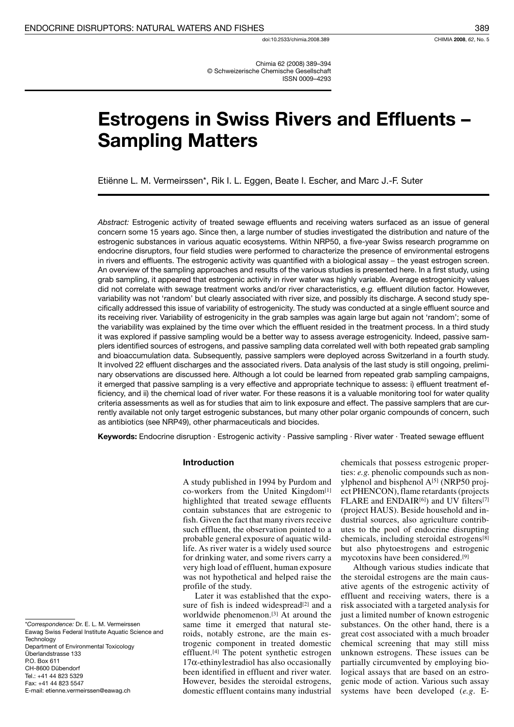# **Estrogens in Swiss Rivers and Effluents -Sampling Matters**

Etiënne L. M. Vermeirssen\*, Rik I. L. Eggen, Beate I. Escher, and Marc J.-F. Suter

Abstract: Estrogenic activity of treated sewage effluents and receiving waters surfaced as an issue of general concern some 15 years ago. Since then, a large number of studies investigated the distribution and nature of the estrogenic substances in various aquatic ecosystems. Within NRP50, a five-year Swiss research programme on endocrine disruptors, four field studies were performed to characterize the presence of environmental estrogens in rivers and effluents. The estrogenic activity was quantified with a biological assay - the yeast estrogen screen. An overview of the sampling approaches and results of the various studies is presented here. In a first study, using grab sampling, it appeared that estrogenic activity in river water was highly variable. Average estrogenicity values did not correlate with sewage treatment works and/or river characteristics, e.g. effluent dilution factor. However, variability was not 'random' but clearly associated with river size, and possibly its discharge. A second study specifically addressed this issue of variability of estrogenicity. The study was conducted at a single effluent source and its receiving river. Variability of estrogenicity in the grab samples was again large but again not 'random'; some of the variability was explained by the time over which the effluent resided in the treatment process. In a third study it was explored if passive sampling would be a better way to assess average estrogenicity. Indeed, passive samplers identified sources of estrogens, and passive sampling data correlated well with both repeated grab sampling and bioaccumulation data. Subsequently, passive samplers were deployed across Switzerland in a fourth study. It involved 22 effluent discharges and the associated rivers. Data analysis of the last study is still ongoing, preliminary observations are discussed here. Although a lot could be learned from repeated grab sampling campaigns, it emerged that passive sampling is a very effective and appropriate technique to assess: i) effluent treatment efficiency, and ii) the chemical load of river water. For these reasons it is a valuable monitoring tool for water quality criteria assessments as well as for studies that aim to link exposure and effect. The passive samplers that are currently available not only target estrogenic substances, but many other polar organic compounds of concern, such as antibiotics (see NRP49), other pharmaceuticals and biocides.

Keywords: Endocrine disruption · Estrogenic activity · Passive sampling · River water · Treated sewage effluent

## Introduction

A study published in 1994 by Purdom and co-workers from the United Kingdom<sup>[1]</sup> highlighted that treated sewage effluents contain substances that are estrogenic to fish. Given the fact that many rivers receive such effluent, the observation pointed to a probable general exposure of aquatic wildlife. As river water is a widely used source for drinking water, and some rivers carry a very high load of effluent, human exposure was not hypothetical and helped raise the profile of the study.

Later it was established that the exposure of fish is indeed widespread<sup>[2]</sup> and a worldwide phenomenon.[3] At around the same time it emerged that natural steroids, notably estrone, are the main estrogenic component in treated domestic effluent.<sup>[4]</sup> The potent synthetic estrogen  $17\alpha$ -ethinylestradiol has also occasionally been identified in effluent and river water. However, besides the steroidal estrogens, domestic effluent contains many industrial chemicals that possess estrogenic properties: e.g. phenolic compounds such as nonylphenol and bisphenol  $A^{[5]}$  (NRP50 project PHENCON), flame retardants (projects FLARE and ENDAIR<sup>[6]</sup>) and UV filters<sup>[7]</sup> (project HAUS). Beside household and industrial sources, also agriculture contributes to the pool of endocrine disrupting chemicals, including steroidal estrogens<sup>[8]</sup> but also phytoestrogens and estrogenic mycotoxins have been considered.[9]

Although various studies indicate that the steroidal estrogens are the main causative agents of the estrogenic activity of effluent and receiving waters, there is a risk associated with a targeted analysis for just a limited number of known estrogenic substances. On the other hand, there is a great cost associated with a much broader chemical screening that may still miss unknown estrogens. These issues can be partially circumvented by employing biological assays that are based on an estrogenic mode of action. Various such assay systems have been developed  $(e.g. E-$ 

E-mail: etienne.vermeirssen@eawag.ch

<sup>\*</sup>Correspondence: Dr. E. L. M. Vermeirssen Eawag Swiss Federal Institute Aquatic Science and Technology Department of Environmental Toxicology Üherlandstrasse 133 P.O. Box 611 CH-8600 Dübendorf Tel.: +41 44 823 5329 Fax: +41 44 823 5547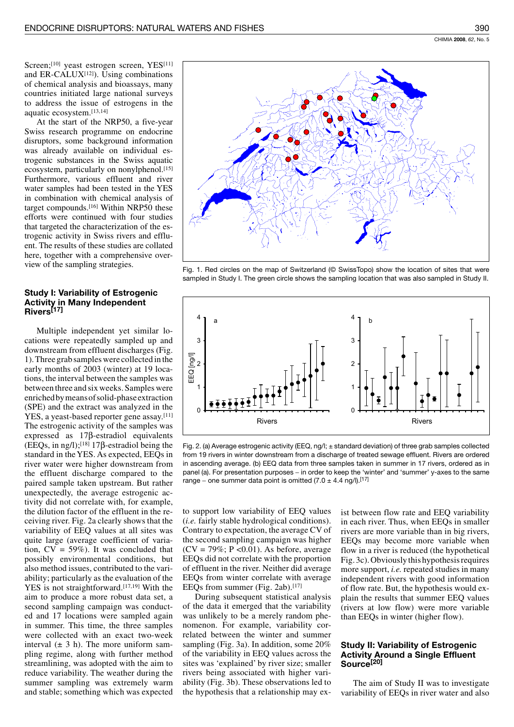Screen;<sup>[10]</sup> yeast estrogen screen, YES<sup>[11]</sup> and ER-CALUX $[12]$ ). Using combinations of chemical analysis and bioassays, many countries initiated large national surveys to address the issue of estrogens in the aquatic ecosystem.[13,14]

At the start of the NRP50, a five-year Swiss research programme on endocrine disruptors, some background information was already available on individual estrogenic substances in the Swiss aquatic ecosystem, particularly on nonylphenol.[15] Furthermore, various effluent and river water samples had been tested in the YES in combination with chemical analysis of target compounds.<sup>[16]</sup> Within NRP50 these efforts were continued with four studies that targeted the characterization of the estrogenic activity in Swiss rivers and effluent. The results of these studies are collated here, together with a comprehensive overview of the sampling strategies.

### **Study I: Variability of Estrogenic Activity in Many Independent** Rivers<sup>[17]</sup>

Multiple independent yet similar locations were repeatedly sampled up and downstream from effluent discharges (Fig. 1). Three grab samples were collected in the early months of 2003 (winter) at 19 locations, the interval between the samples was between three and six weeks. Samples were enriched by means of solid-phase extraction (SPE) and the extract was analyzed in the YES, a yeast-based reporter gene assay.[11] The estrogenic activity of the samples was expressed as  $17\beta$ -estradiol equivalents (EEQs, in ng/l);<sup>[18]</sup> 17 $\beta$ -estradiol being the standard in the YES. As expected, EEQs in river water were higher downstream from the effluent discharge compared to the paired sample taken upstream. But rather unexpectedly, the average estrogenic activity did not correlate with, for example, the dilution factor of the effluent in the receiving river. Fig. 2a clearly shows that the variability of EEQ values at all sites was quite large (average coefficient of variation,  $CV = 59\%$ ). It was concluded that possibly environmental conditions, but also method issues, contributed to the variability; particularly as the evaluation of the YES is not straightforward.[17,19] With the aim to produce a more robust data set, a second sampling campaign was conducted and 17 locations were sampled again in summer. This time, the three samples were collected with an exact two-week interval  $(\pm 3 h)$ . The more uniform sampling regime, along with further method streamlining, was adopted with the aim to reduce variability. The weather during the summer sampling was extremely warm and stable; something which was expected



Fig. 1. Red circles on the map of Switzerland (© SwissTopo) show the location of sites that were sampled in Study I. The green circle shows the sampling location that was also sampled in Study II.



Fig. 2. (a) Average estrogenic activity (EEQ, ng/l; ± standard deviation) of three grab samples collected from 19 rivers in winter downstream from a discharge of treated sewage effluent. Rivers are ordered in ascending average. (b) EEQ data from three samples taken in summer in 17 rivers, ordered as in panel (a). For presentation purposes - in order to keep the 'winter' and 'summer' y-axes to the same range – one summer data point is omitted  $(7.0 \pm 4.4 \text{ ng/l})$ . [17]

to support low variability of EEQ values *(i.e.* fairly stable hydrological conditions). Contrary to expectation, the average CV of the second sampling campaign was higher  $(CV = 79\%; P < 0.01)$ . As before, average EEQs did not correlate with the proportion of effluent in the river. Neither did average EEQs from winter correlate with average EEQs from summer (Fig. 2ab).[17]

During subsequent statistical analysis of the data it emerged that the variability was unlikely to be a merely random phenomenon. For example, variability correlated between the winter and summer sampling (Fig. 3a). In addition, some  $20\%$ of the variability in EEQ values across the sites was 'explained' by river size; smaller rivers being associated with higher variability (Fig. 3b). These observations led to the hypothesis that a relationship may exist between flow rate and EEQ variability in each river. Thus, when EEQs in smaller rivers are more variable than in big rivers, EEQ<sub>s</sub> may become more variable when flow in a river is reduced (the hypothetical Fig. 3c). Obviously this hypothesis requires more support, *i.e.* repeated studies in many independent rivers with good information of flow rate. But, the hypothesis would explain the results that summer EEQ values (rivers at low flow) were more variable than EEQs in winter (higher flow).

# **Study II: Variability of Estrogenic Activity Around a Single Effluent** Source<sup>[20]</sup>

The aim of Study II was to investigate variability of EEQs in river water and also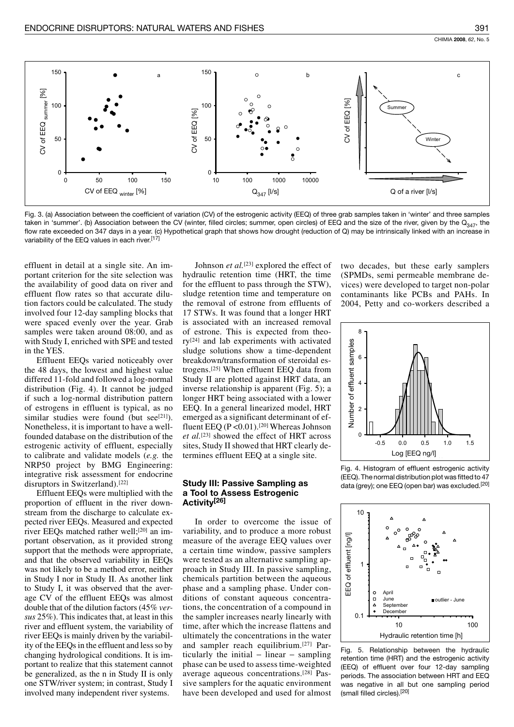

Fig. 3. (a) Association between the coefficient of variation (CV) of the estrogenic activity (EEQ) of three grab samples taken in 'winter' and three samples taken in 'summer'. (b) Association between the CV (winter, filled circles; summer, open circles) of EEQ and the size of the river, given by the  $Q_{347}$ , the flow rate exceeded on 347 days in a year. (c) Hypothetical graph that shows how drought (reduction of Q) may be intrinsically linked with an increase in variability of the EEQ values in each river.[17]

effluent in detail at a single site. An important criterion for the site selection was the availability of good data on river and effluent flow rates so that accurate dilution factors could be calculated. The study involved four 12-day sampling blocks that were spaced evenly over the year. Grab samples were taken around 08:00, and as with Study I, enriched with SPE and tested in the YES.

Effluent EEQs varied noticeably over the 48 days, the lowest and highest value differed 11-fold and followed a log-normal distribution (Fig. 4). It cannot be judged if such a log-normal distribution pattern of estrogens in effluent is typical, as no similar studies were found (but see<sup>[21]</sup>). Nonetheless, it is important to have a wellfounded database on the distribution of the estrogenic activity of effluent, especially to calibrate and validate models  $(e.g.$  the NRP50 project by BMG Engineering: integrative risk assessment for endocrine disruptors in Switzerland).<sup>[22]</sup>

Effluent EEQs were multiplied with the proportion of effluent in the river downstream from the discharge to calculate expected river EEQs. Measured and expected river EEQs matched rather well;[20] an important observation, as it provided strong support that the methods were appropriate, and that the observed variability in EEQs was not likely to be a method error, neither in Study I nor in Study II. As another link to Study I, it was observed that the average CV of the effluent EEQs was almost double that of the dilution factors (45% versus 25%). This indicates that, at least in this river and effluent system, the variability of river EEQs is mainly driven by the variability of the EEQs in the effluent and less so by changing hydrological conditions. It is important to realize that this statement cannot be generalized, as the n in Study II is only one STW/river system; in contrast, Study I involved many independent river systems.

Johnson et al.<sup>[23]</sup> explored the effect of hydraulic retention time (HRT, the time for the effluent to pass through the STW), sludge retention time and temperature on the removal of estrone from effluents of 17 STWs. It was found that a longer HRT is associated with an increased removal of estrone. This is expected from theory<sup>[24]</sup> and lab experiments with activated sludge solutions show a time-dependent breakdown/transformation of steroidal estrogens.<sup>[25]</sup> When effluent EEQ data from Study II are plotted against HRT data, an inverse relationship is apparent (Fig. 5); a longer HRT being associated with a lower EEQ. In a general linearized model, HRT emerged as a significant determinant of effluent EEQ (P<0.01).[20] Whereas Johnson et al.<sup>[23]</sup> showed the effect of HRT across sites, Study II showed that HRT clearly determines effluent EEQ at a single site.

#### **Study III: Passive Sampling as** a Tool to Assess Estrogenic Activity<sup>[26]</sup>

In order to overcome the issue of variability, and to produce a more robust measure of the average EEQ values over a certain time window, passive samplers were tested as an alternative sampling approach in Study III. In passive sampling, chemicals partition between the aqueous phase and a sampling phase. Under conditions of constant aqueous concentrations, the concentration of a compound in the sampler increases nearly linearly with time, after which the increase flattens and ultimately the concentrations in the water and sampler reach equilibrium.<sup>[27]</sup> Particularly the initial  $-$  linear  $-$  sampling phase can be used to assess time-weighted average aqueous concentrations.[28] Passive samplers for the aquatic environment have been developed and used for almost two decades, but these early samplers (SPMDs, semi permeable membrane devices) were developed to target non-polar contaminants like PCBs and PAHs. In 2004, Petty and co-workers described a



Fig. 4. Histogram of effluent estrogenic activity (EEQ). The normal distribution plot was fitted to 47 data (grey); one EEQ (open bar) was excluded.<sup>[20]</sup>



Fig. 5. Relationship between the hydraulic retention time (HRT) and the estrogenic activity (EEQ) of effluent over four 12-day sampling periods. The association between HRT and EEQ was negative in all but one sampling period (small filled circles).<sup>[20]</sup>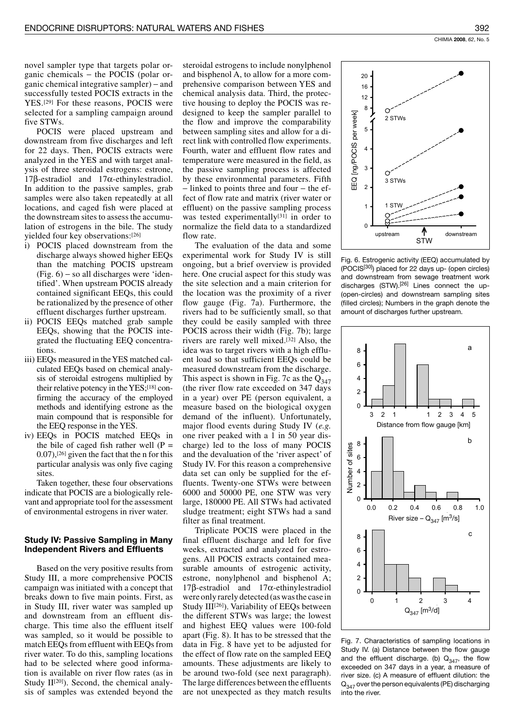novel sampler type that targets polar organic chemicals  $-$  the POCIS (polar organic chemical integrative sampler) – and successfully tested POCIS extracts in the YES.<sup>[29]</sup> For these reasons, POCIS were selected for a sampling campaign around five STWs.

POCIS were placed upstream and downstream from five discharges and left for 22 days. Then, POCIS extracts were analyzed in the YES and with target analysis of three steroidal estrogens: estrone,  $17\beta$ -estradiol and  $17\alpha$ -ethinylestradiol. In addition to the passive samples, grab samples were also taken repeatedly at all locations, and caged fish were placed at the downstream sites to assess the accumulation of estrogens in the bile. The study yielded four key observations:[26]

- i) POCIS placed downstream from the discharge always showed higher EEQs than the matching POCIS upstream  $(Fig. 6)$  – so all discharges were 'identified'. When upstream POCIS already contained significant EEQs, this could be rationalized by the presence of other effluent discharges further upstream.
- ii) POCIS EEQs matched grab sample EEQs, showing that the POCIS integrated the fluctuating EEQ concentrations.
- iii) EEQs measured in the YES matched calculated EEQs based on chemical analysis of steroidal estrogens multiplied by their relative potency in the YES;[18] confirming the accuracy of the employed methods and identifying estrone as the main compound that is responsible for the EEQ response in the YES.
- iv) EEQs in POCIS matched EEQs in the bile of caged fish rather well  $(P =$  $(0.07)$ ,  $[26]$  given the fact that the n for this particular analysis was only five caging sites.

Taken together, these four observations indicate that POCIS are a biologically relevant and appropriate tool for the assessment of environmental estrogens in river water.

#### **Study IV: Passive Sampling in Many Independent Rivers and Effluents**

Based on the very positive results from Study III, a more comprehensive POCIS campaign was initiated with a concept that breaks down to five main points. First, as in Study III, river water was sampled up and downstream from an effluent discharge. This time also the effluent itself was sampled, so it would be possible to match EEQs from effluent with EEQs from river water. To do this, sampling locations had to be selected where good information is available on river flow rates (as in Study  $II^{[20]}$ ). Second, the chemical analysis of samples was extended beyond the

steroidal estrogens to include nonylphenol and bisphenol A, to allow for a more comprehensive comparison between YES and chemical analysis data. Third, the protective housing to deploy the POCIS was redesigned to keep the sampler parallel to the flow and improve the comparability between sampling sites and allow for a direct link with controlled flow experiments. Fourth, water and effluent flow rates and temperature were measured in the field, as the passive sampling process is affected by these environmental parameters. Fifth  $-$  linked to points three and four  $-$  the effect of flow rate and matrix (river water or effluent) on the passive sampling process was tested experimentally<sup>[31]</sup> in order to normalize the field data to a standardized flow rate.

The evaluation of the data and some experimental work for Study IV is still ongoing, but a brief overview is provided here. One crucial aspect for this study was the site selection and a main criterion for the location was the proximity of a river flow gauge (Fig. 7a). Furthermore, the rivers had to be sufficiently small, so that they could be easily sampled with three POCIS across their width (Fig. 7b); large rivers are rarely well mixed.<sup>[32]</sup> Also, the idea was to target rivers with a high effluent load so that sufficient EEQs could be measured downstream from the discharge. This aspect is shown in Fig. 7c as the  $Q_{347}$ (the river flow rate exceeded on 347 days in a year) over PE (person equivalent, a measure based on the biological oxygen demand of the influent). Unfortunately, major flood events during Study IV (e.g. one river peaked with a 1 in 50 year discharge) led to the loss of many POCIS and the devaluation of the 'river aspect' of Study IV. For this reason a comprehensive data set can only be supplied for the effluents. Twenty-one STWs were between 6000 and 50000 PE, one STW was very large, 180000 PE. All STWs had activated sludge treatment; eight STWs had a sand filter as final treatment.

Triplicate POCIS were placed in the final effluent discharge and left for five weeks, extracted and analyzed for estrogens. All POCIS extracts contained measurable amounts of estrogenic activity, estrone, nonylphenol and bisphenol A;  $17\beta$ -estradiol and  $17\alpha$ -ethinylestradiol were only rarely detected (as was the case in Study III<sup>[26]</sup>). Variability of EEQs between the different STWs was large; the lowest and highest EEQ values were 100-fold apart (Fig. 8). It has to be stressed that the data in Fig. 8 have yet to be adjusted for the effect of flow rate on the sampled EEQ amounts. These adjustments are likely to be around two-fold (see next paragraph). The large differences between the effluents are not unexpected as they match results



Fig. 6. Estrogenic activity (EEQ) accumulated by (POCIS<sup>[30]</sup>) placed for 22 days up- (open circles) and downstream from sewage treatment work discharges (STW).<sup>[26]</sup> Lines connect the up-(open-circles) and downstream sampling sites (filled circles); Numbers in the graph denote the amount of discharges further upstream.



Fig. 7. Characteristics of sampling locations in Study IV. (a) Distance between the flow gauge and the effluent discharge. (b)  $Q_{347}$ , the flow exceeded on 347 days in a year, a measure of river size. (c) A measure of effluent dilution: the  $Q_{347}$  over the person equivalents (PE) discharging into the river.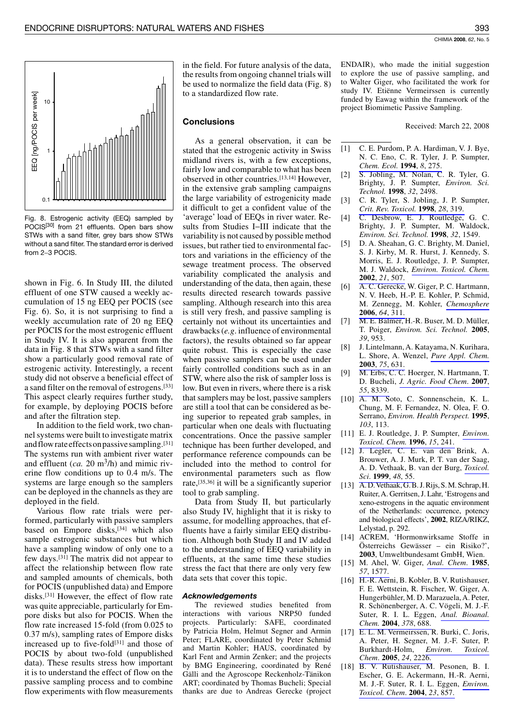

Fig. 8. Estrogenic activity (EEQ) sampled by POCIS<sup>[30]</sup> from 21 effluents. Open bars show STWs with a sand filter, grey bars show STWs without a sand filter. The standard error is derived from 2-3 POCIS.

shown in Fig. 6. In Study III, the diluted effluent of one STW caused a weekly accumulation of 15 ng EEQ per POCIS (see Fig. 6). So, it is not surprising to find a weekly accumulation rate of 20 ng EEQ per POCIS for the most estrogenic effluent in Study IV. It is also apparent from the data in Fig. 8 that STWs with a sand filter show a particularly good removal rate of estrogenic activity. Interestingly, a recent study did not observe a beneficial effect of a sand filter on the removal of estrogens.<sup>[33]</sup> This aspect clearly requires further study, for example, by deploying POCIS before and after the filtration step.

In addition to the field work, two channel systems were built to investigate matrix and flow rate effects on passive sampling.[31] The systems run with ambient river water and effluent (ca. 20  $m^3/h$ ) and mimic riverine flow conditions up to  $0.4$  m/s. The systems are large enough so the samplers can be deployed in the channels as they are deployed in the field.

Various flow rate trials were performed, particularly with passive samplers based on Empore disks, [34] which also sample estrogenic substances but which have a sampling window of only one to a few days.<sup>[31]</sup> The matrix did not appear to affect the relationship between flow rate and sampled amounts of chemicals, both for POCIS (unpublished data) and Empore disks.<sup>[31]</sup> However, the effect of flow rate was quite appreciable, particularly for Empore disks but also for POCIS. When the flow rate increased 15-fold (from 0.025 to 0.37 m/s), sampling rates of Empore disks increased up to five-fold[31] and those of POCIS by about two-fold (unpublished data). These results stress how important it is to understand the effect of flow on the passive sampling process and to combine flow experiments with flow measurements in the field. For future analysis of the data, the results from ongoing channel trials will be used to normalize the field data (Fig. 8) to a standardized flow rate.

#### **Conclusions**

As a general observation, it can be stated that the estrogenic activity in Swiss midland rivers is, with a few exceptions, fairly low and comparable to what has been observed in other countries.[13,14] However, in the extensive grab sampling campaigns the large variability of estrogenicity made it difficult to get a confident value of the 'average' load of EEQs in river water. Results from Studies I-III indicate that the variability is not caused by possible method issues, but rather tied to environmental factors and variations in the efficiency of the sewage treatment process. The observed variability complicated the analysis and understanding of the data, then again, these results directed research towards passive sampling. Although research into this area is still very fresh, and passive sampling is certainly not without its uncertainties and drawbacks  $(e.g.$  influence of environmental factors), the results obtained so far appear quite robust. This is especially the case when passive samplers can be used under fairly controlled conditions such as in an STW, where also the risk of sampler loss is low. But even in rivers, where there is a risk that samplers may be lost, passive samplers are still a tool that can be considered as being superior to repeated grab samples, in particular when one deals with fluctuating concentrations. Once the passive sampler technique has been further developed, and performance reference compounds can be included into the method to control for environmental parameters such as flow rate, [35,36] it will be a significantly superior tool to grab sampling.

Data from Study II, but particularly also Study IV, highlight that it is risky to assume, for modelling approaches, that effluents have a fairly similar EEQ distribution. Although both Study II and IV added to the understanding of EEQ variability in effluents, at the same time these studies stress the fact that there are only very few data sets that cover this topic.

#### **Acknowledgements**

The reviewed studies benefited from interactions with various NRP50 funded projects. Particularly: SAFE, coordinated by Patricia Holm, Helmut Segner and Armin Peter; FLARE, coordinated by Peter Schmid and Martin Kohler; HAUS, coordinated by Karl Fent and Armin Zenker; and the projects by BMG Engineering, coordinated by René Gälli and the Agroscope Reckenholz-Tänikon ART; coordinated by Thomas Bucheli; Special thanks are due to Andreas Gerecke (project

ENDAIR), who made the initial suggestion to explore the use of passive sampling, and to Walter Giger, who facilitated the work for study IV. Etiënne Vermeirssen is currently funded by Eawag within the framework of the project Biomimetic Passive Sampling.

Received: March 22, 2008

- $[1]$ C. E. Purdom, P. A. Hardiman, V. J. Bye, N. C. Eno, C. R. Tyler, J. P. Sumpter, Chem. Ecol. 1994, 8, 275.
- S. Jobling, M. Nolan, C. R. Tyler, G.  $\lceil 2 \rceil$ Brighty, J. P. Sumpter, Environ. Sci. Technol. 1998, 32, 2498.
- C. R. Tyler, S. Jobling, J. P. Sumpter,  $\lceil 3 \rceil$ Crit. Rev. Toxicol. 1998, 28, 319.
- C. Desbrow, E. J. Routledge, G. C.  $[4]$ Brighty, J. P. Sumpter, M. Waldock, Environ. Sci. Technol. 1998, 32, 1549.
- D. A. Sheahan, G. C. Brighty, M. Daniel,  $\lceil 5 \rceil$ S. J. Kirby, M. R. Hurst, J. Kennedy, S. Morris, E. J. Routledge, J. P. Sumpter, M. J. Waldock, Environ. Toxicol. Chem. 2002, 21, 507.
- A. C. Gerecke, W. Giger, P. C. Hartmann,  $[6]$ N. V. Heeb, H.-P. E. Kohler, P. Schmid, M. Zennegg, M. Kohler, Chemosphere 2006, 64, 311.
- M. E. Balmer, H.-R. Buser, M. D. Müller,  $[7]$ T. Poiger, Environ. Sci. Technol. 2005, 39, 953.
- J. Lintelmann, A. Katayama, N. Kurihara,  $[8]$ L. Shore, A. Wenzel, Pure Appl. Chem. 2003, 75, 631.
- $[9]$ M. Erbs, C. C. Hoerger, N. Hartmann, T. D. Bucheli, J. Agric. Food Chem. 2007, 55, 8339.
- [10] A. M. Soto, C. Sonnenschein, K. L. Chung, M. F. Fernandez, N. Olea, F. O. Serrano, Environ. Health Perspect. 1995,  $103.113.$
- [11] E. J. Routledge, J. P. Sumpter, Environ. Toxicol. Chem. 1996, 15, 241.
- [12] J. Legler, C. E. van den Brink, A. Brouwer, A. J. Murk, P. T. van der Saag, A. D. Vethaak, B. van der Burg, Toxicol. Sci. 1999, 48, 55.
- [13] A.D. Vethaak, G.B.J. Rijs, S.M. Schrap, H. Ruiter, A. Gerritsen, J. Lahr, 'Estrogens and xeno-estrogens in the aquatic environment of the Netherlands: occurrence, potency and biological effects', 2002, RIZA/RIKZ, Lelystad, p. 292.
- [14] ACREM, 'Hormonwirksame Stoffe in Osterreichs Gewässer – ein Risiko?', 2003, Umweltbundesamt GmbH, Wien.
- [15] M. Ahel, W. Giger, Anal. Chem. 1985, 57, 1577.
- [16] H.-R. Aerni, B. Kobler, B. V. Rutishauser, F. E. Wettstein, R. Fischer, W. Giger, A. Hungerbühler, M. D. Marazuela, A. Peter, R. Schönenberger, A. C. Vögeli, M. J.-F. Suter, R. I. L. Eggen, Anal. Bioanal. Chem. 2004, 378, 688.
- [17] E. L. M. Vermeirssen, R. Burki, C. Joris, A. Peter, H. Segner, M. J.-F. Suter, P. Burkhardt-Holm, Environ. Toxicol. Chem. 2005, 24, 2226.
- [18] B. V. Rutishauser, M. Pesonen, B. I. Escher, G. E. Ackermann, H.-R. Aerni, M. J.-F. Suter, R. I. L. Eggen, *Environ*. Toxicol. Chem. 2004, 23, 857.